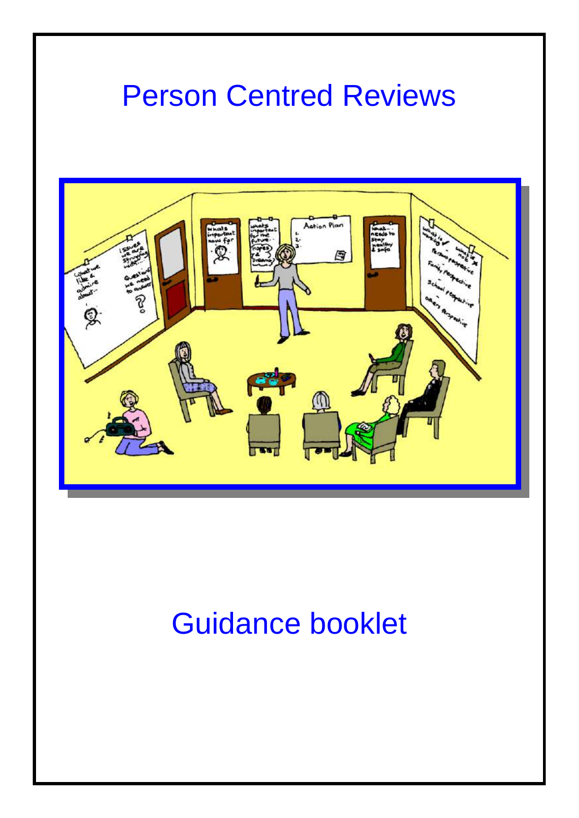#### Person Centred Reviews



## Guidance booklet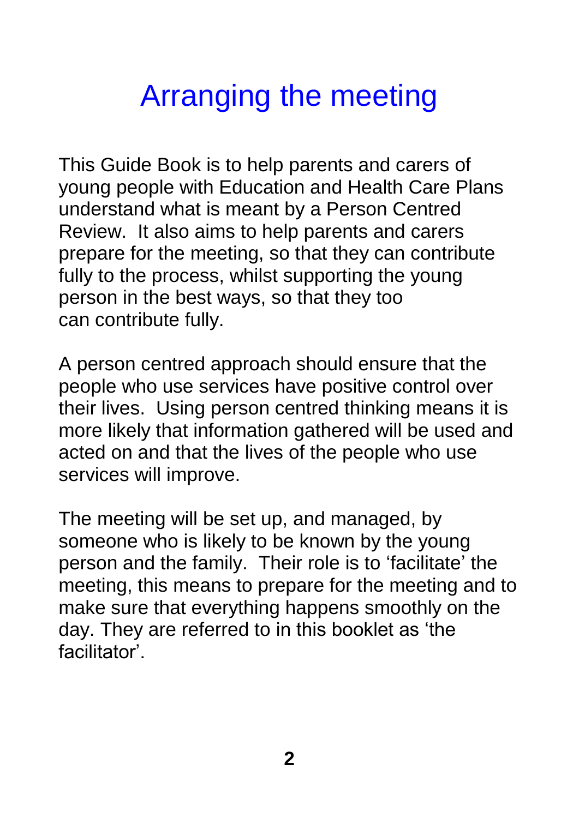## Arranging the meeting

This Guide Book is to help parents and carers of young people with Education and Health Care Plans understand what is meant by a Person Centred Review. It also aims to help parents and carers prepare for the meeting, so that they can contribute fully to the process, whilst supporting the young person in the best ways, so that they too can contribute fully.

A person centred approach should ensure that the people who use services have positive control over their lives. Using person centred thinking means it is more likely that information gathered will be used and acted on and that the lives of the people who use services will improve.

The meeting will be set up, and managed, by someone who is likely to be known by the young person and the family. Their role is to 'facilitate' the meeting, this means to prepare for the meeting and to make sure that everything happens smoothly on the day. They are referred to in this booklet as 'the facilitator'.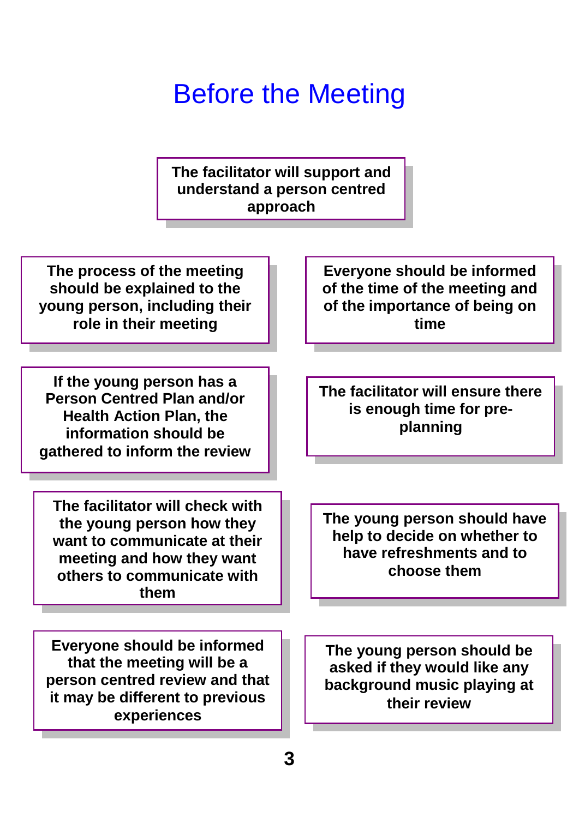#### Before the Meeting

**The facilitator will support and understand a person centred approach**

**The process of the meeting should be explained to the young person, including their role in their meeting**

**If the young person has a Person Centred Plan and/or Health Action Plan, the information should be gathered to inform the review**

**The facilitator will check with the young person how they want to communicate at their meeting and how they want others to communicate with them**

**Everyone should be informed that the meeting will be a person centred review and that it may be different to previous experiences**

**Everyone should be informed of the time of the meeting and of the importance of being on time**

**The facilitator will ensure there is enough time for preplanning**

**The young person should have help to decide on whether to have refreshments and to choose them**

**The young person should be asked if they would like any background music playing at their review**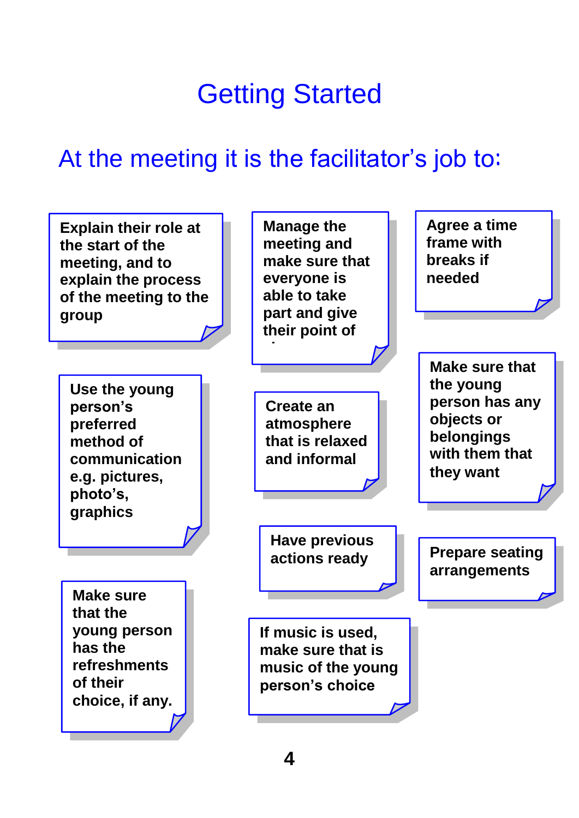## Getting Started

#### At the meeting it is the facilitator's job to:

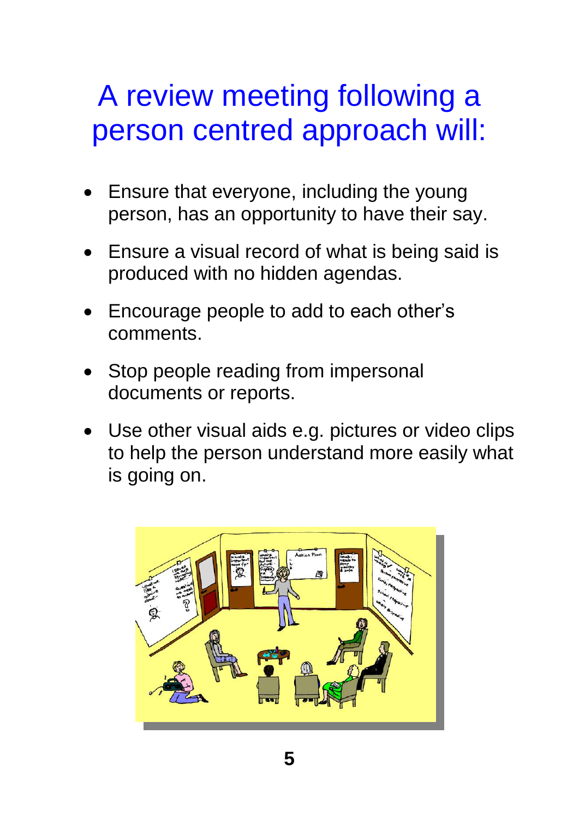#### A review meeting following a person centred approach will:

- Ensure that everyone, including the young person, has an opportunity to have their say.
- Ensure a visual record of what is being said is produced with no hidden agendas.
- Encourage people to add to each other's comments.
- Stop people reading from impersonal documents or reports.
- Use other visual aids e.g. pictures or video clips to help the person understand more easily what is going on.

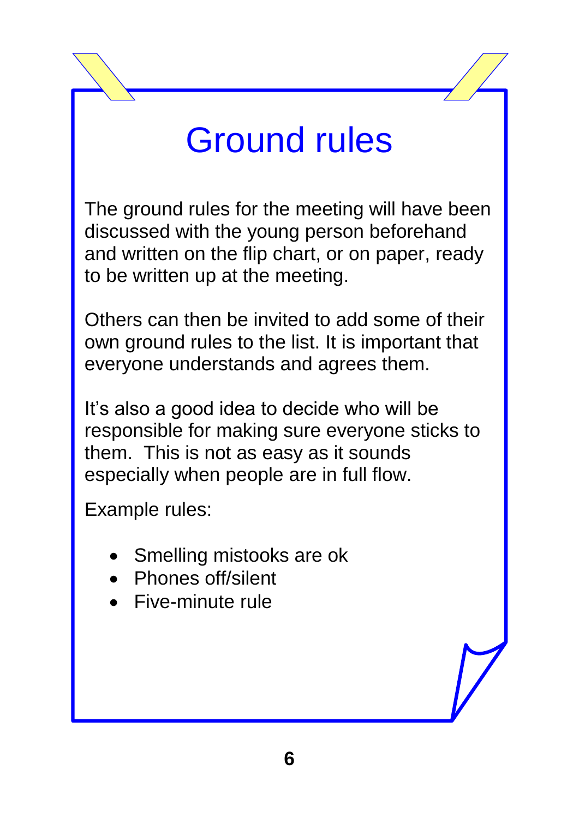# Ground rules

The ground rules for the meeting will have been discussed with the young person beforehand and written on the flip chart, or on paper, ready to be written up at the meeting.

Others can then be invited to add some of their own ground rules to the list. It is important that everyone understands and agrees them.

It's also a good idea to decide who will be responsible for making sure everyone sticks to them. This is not as easy as it sounds especially when people are in full flow.

Example rules:

- Smelling mistooks are ok
- Phones off/silent
- Five-minute rule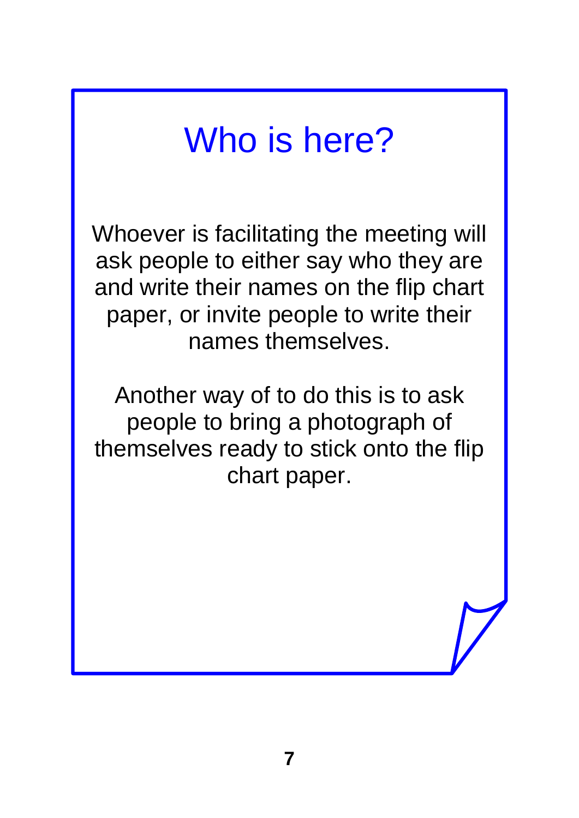## Who is here?

Whoever is facilitating the meeting will ask people to either say who they are and write their names on the flip chart paper, or invite people to write their names themselves.

Another way of to do this is to ask people to bring a photograph of themselves ready to stick onto the flip chart paper.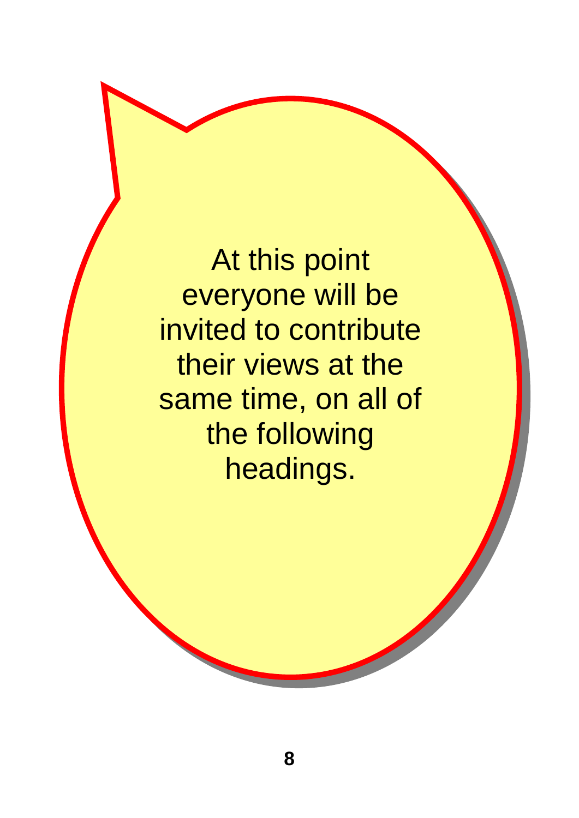At this point everyone will be invited to contribute their views at the same time, on all of the following headings.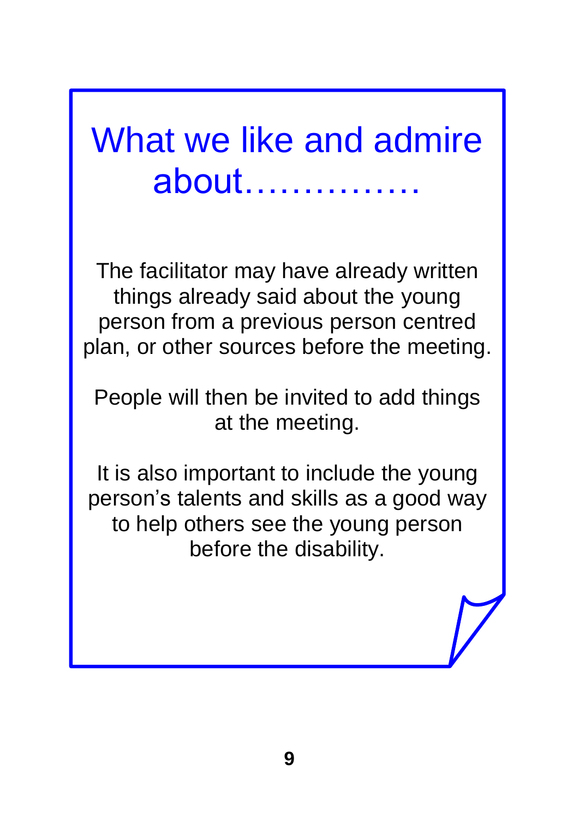## What we like and admire about……………

The facilitator may have already written things already said about the young person from a previous person centred plan, or other sources before the meeting.

People will then be invited to add things at the meeting.

It is also important to include the young person's talents and skills as a good way to help others see the young person before the disability.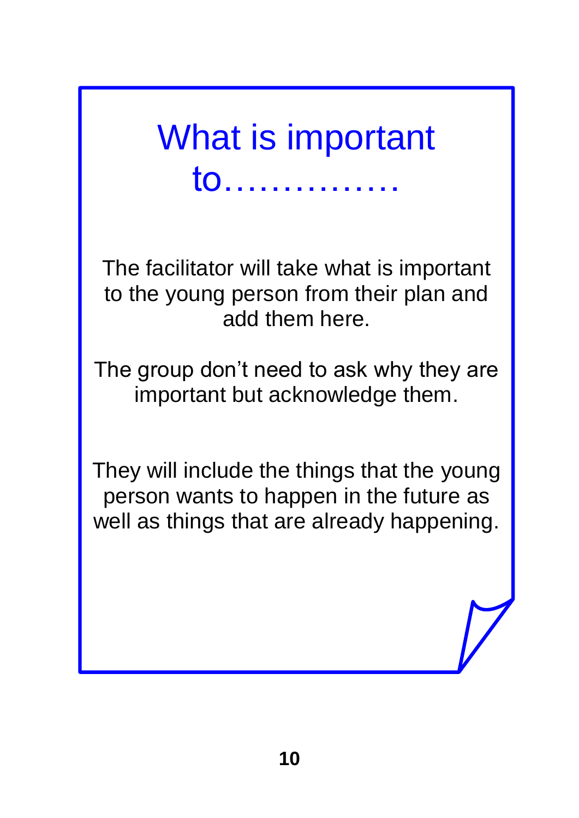What is important to……………

The facilitator will take what is important to the young person from their plan and add them here.

The group don't need to ask why they are important but acknowledge them.

They will include the things that the young person wants to happen in the future as well as things that are already happening.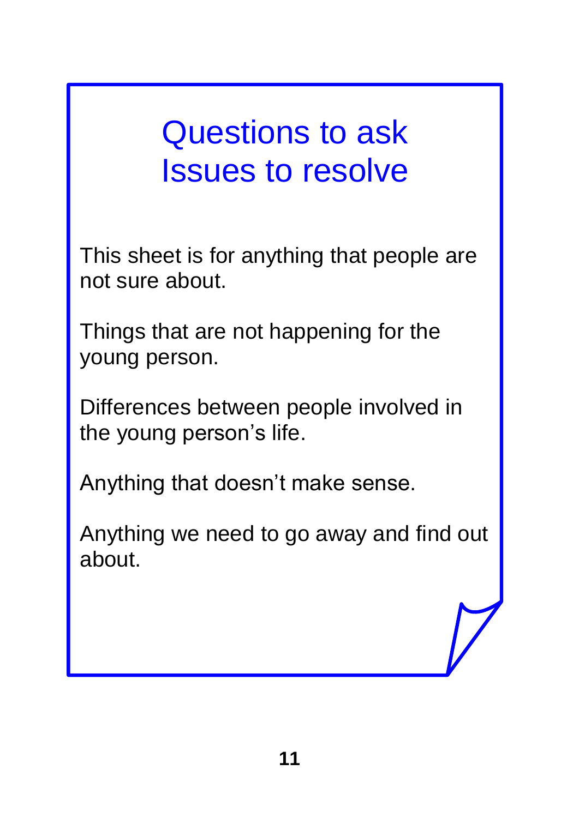## Questions to ask Issues to resolve

This sheet is for anything that people are not sure about.

Things that are not happening for the young person.

Differences between people involved in the young person's life.

Anything that doesn't make sense.

Anything we need to go away and find out about.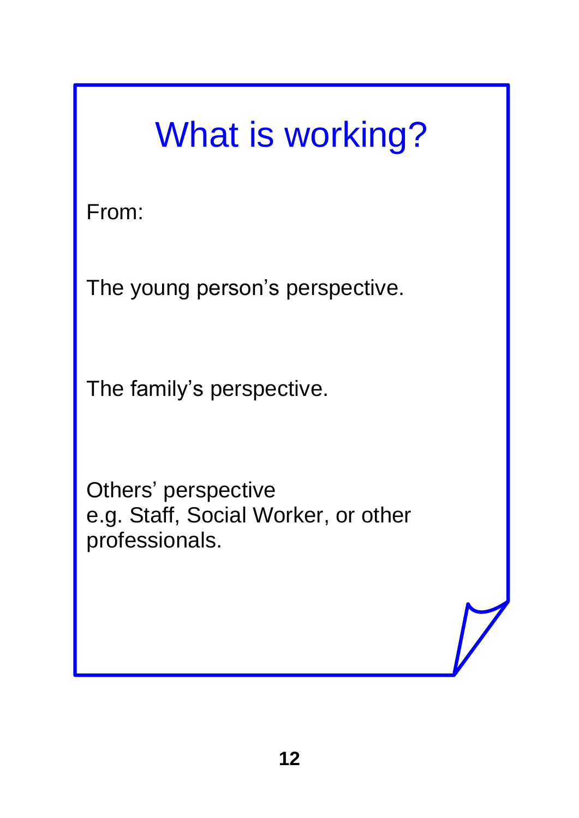# What is working?

From:

The young person's perspective.

The family's perspective.

Others' perspective e.g. Staff, Social Worker, or other professionals.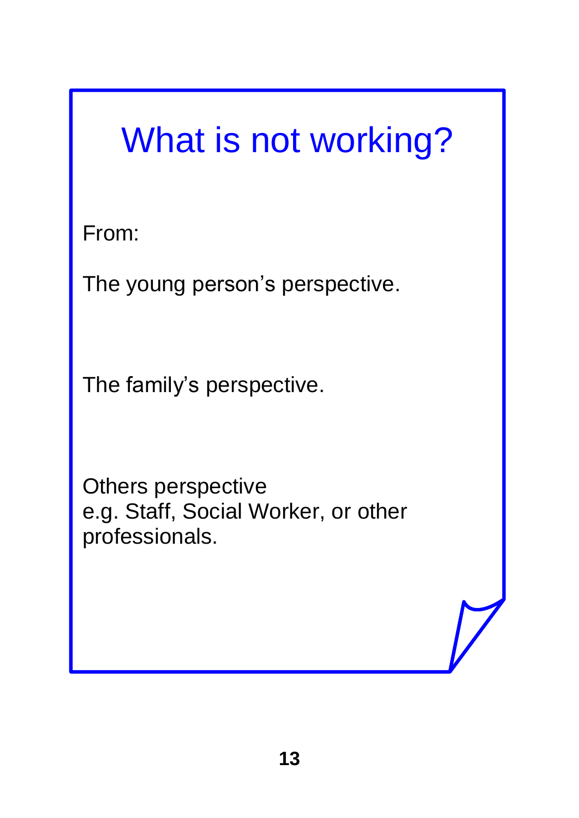# What is not working?

From:

The young person's perspective.

The family's perspective.

Others perspective e.g. Staff, Social Worker, or other professionals.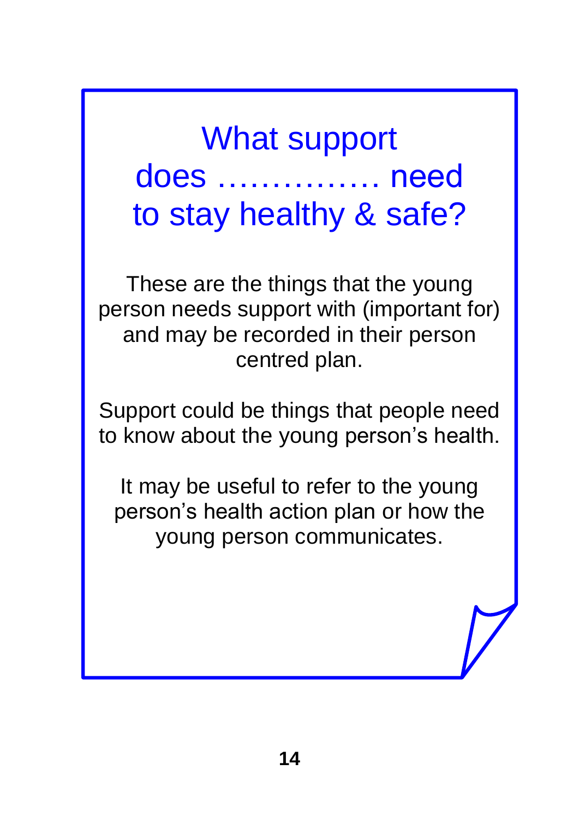What support does …………… need to stay healthy & safe?

These are the things that the young person needs support with (important for) and may be recorded in their person centred plan.

Support could be things that people need to know about the young person's health.

It may be useful to refer to the young person's health action plan or how the young person communicates.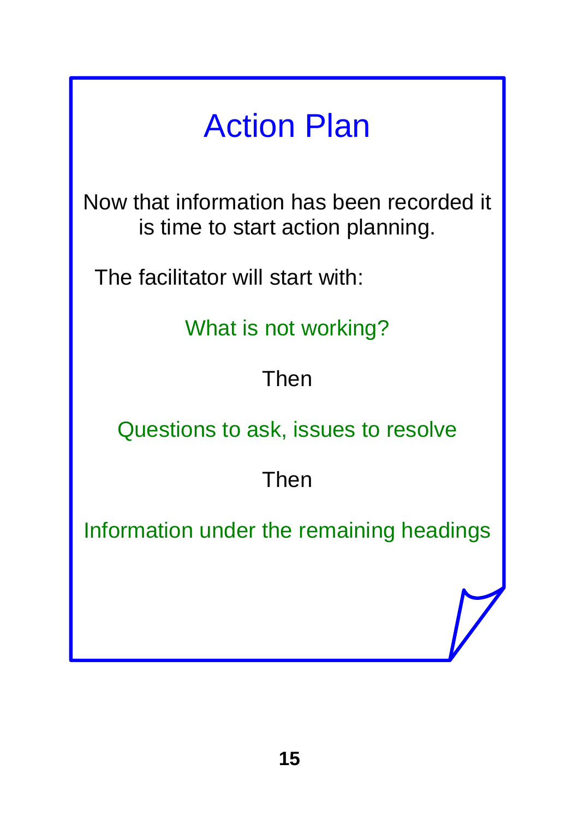## Action Plan

Now that information has been recorded it is time to start action planning.

The facilitator will start with:

What is not working?

#### Then

Questions to ask, issues to resolve

#### Then

Information under the remaining headings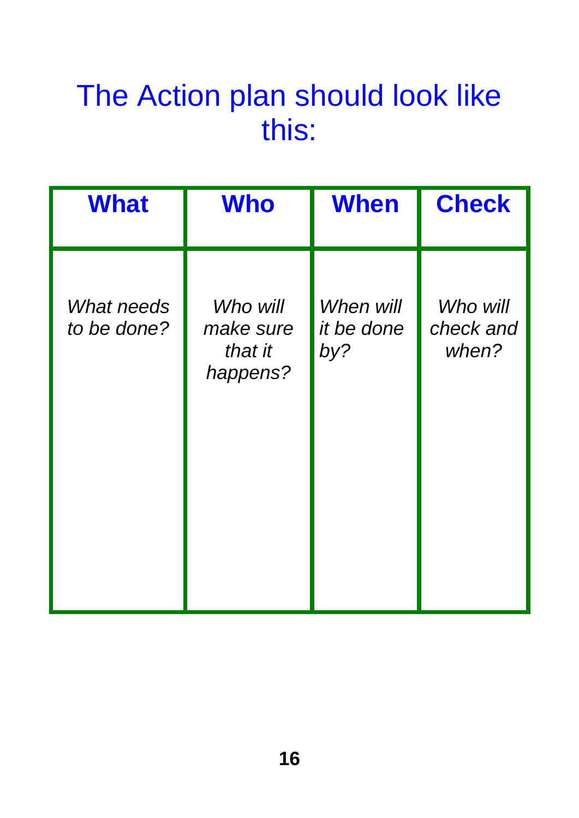#### The Action plan should look like this:

| <b>What</b>               | <b>Who</b>                                   | <b>When</b>                           | <b>Check</b>                   |
|---------------------------|----------------------------------------------|---------------------------------------|--------------------------------|
| What needs<br>to be done? | Who will<br>make sure<br>that it<br>happens? | When will<br><i>it be done</i><br>by? | Who will<br>check and<br>when? |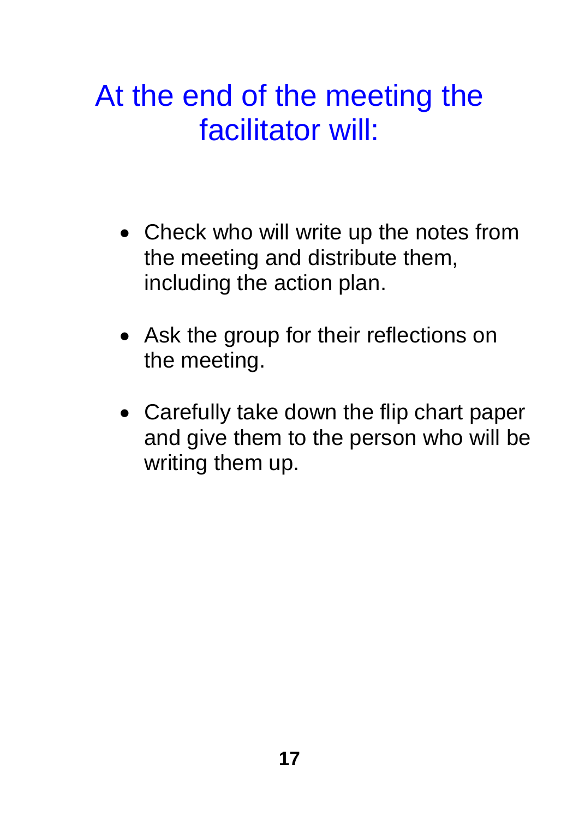#### At the end of the meeting the facilitator will:

- Check who will write up the notes from the meeting and distribute them, including the action plan.
- Ask the group for their reflections on the meeting.
- Carefully take down the flip chart paper and give them to the person who will be writing them up.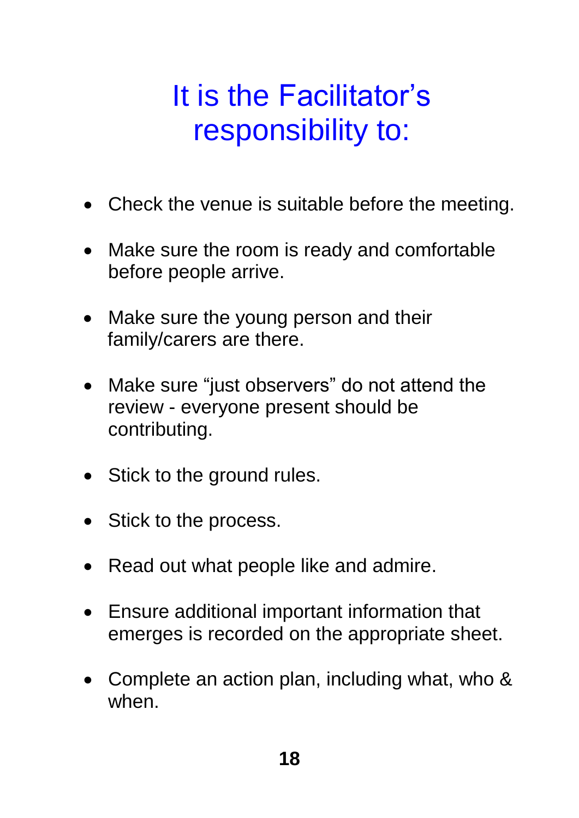## It is the Facilitator's responsibility to:

- Check the venue is suitable before the meeting.
- Make sure the room is ready and comfortable before people arrive.
- Make sure the young person and their family/carers are there.
- Make sure "just observers" do not attend the review - everyone present should be contributing.
- Stick to the ground rules.
- Stick to the process.
- Read out what people like and admire.
- Ensure additional important information that emerges is recorded on the appropriate sheet.
- Complete an action plan, including what, who & when.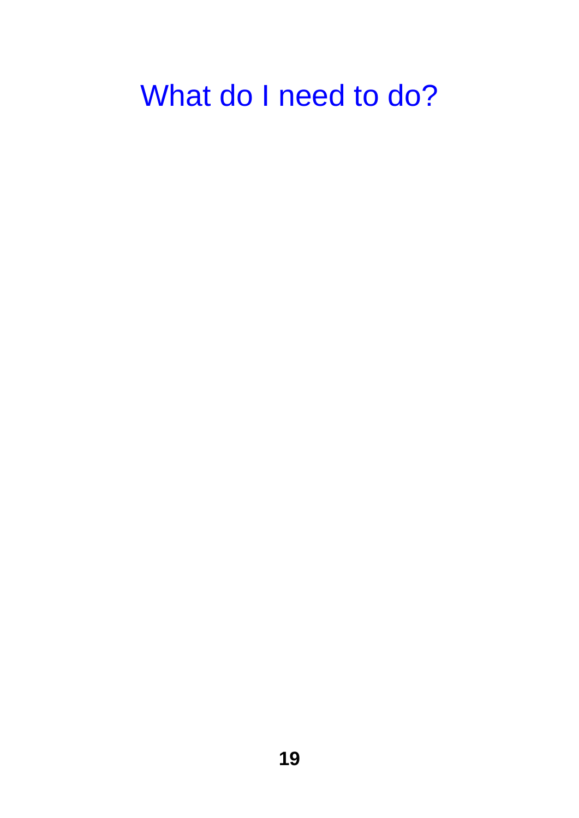## What do I need to do?